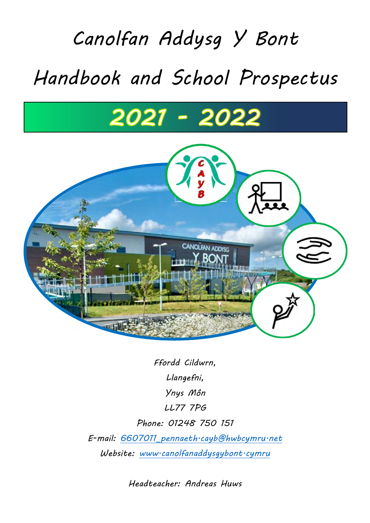# *Canolfan Addysg Y Bont Handbook and School Prospectus*

# 2021 - 2022



*Ffordd Cildwrn, Llangefni, Ynys Môn LL77 7PG Phone: 01248 750 151 E-mail: [6607011\\_pennaeth.cayb@hwbcymru.net](mailto:6607011_pennaeth.cayb@hwbcymru.net)  Website: [www.canolfanaddysgybont.cymru](http://www.canolfanaddysgybont.cymru/)* 

*Headteacher: Andreas Huws*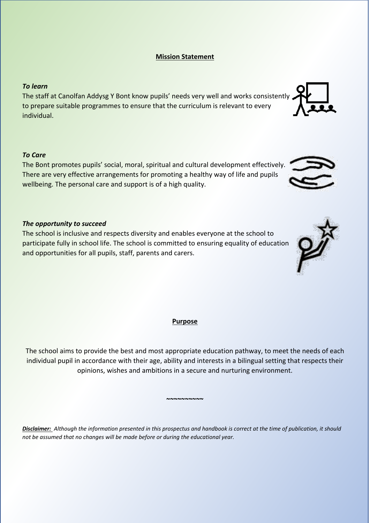# **Mission Statement**

#### *To learn*

The staff at Canolfan Addysg Y Bont know pupils' needs very well and works consistently to prepare suitable programmes to ensure that the curriculum is relevant to every individual.

#### *To Care*

The Bont promotes pupils' social, moral, spiritual and cultural development effectively. There are very effective arrangements for promoting a healthy way of life and pupils wellbeing. The personal care and support is of a high quality.

#### *The opportunity to succeed*

The school is inclusive and respects diversity and enables everyone at the school to participate fully in school life. The school is committed to ensuring equality of education and opportunities for all pupils, staff, parents and carers.

#### **Purpose**

The school aims to provide the best and most appropriate education pathway, to meet the needs of each individual pupil in accordance with their age, ability and interests in a bilingual setting that respects their opinions, wishes and ambitions in a secure and nurturing environment.

**~~~~~~~~~~**

*Disclaimer: Although the information presented in this prospectus and handbook is correct at the time of publication, it should not be assumed that no changes will be made before or during the educational year.*



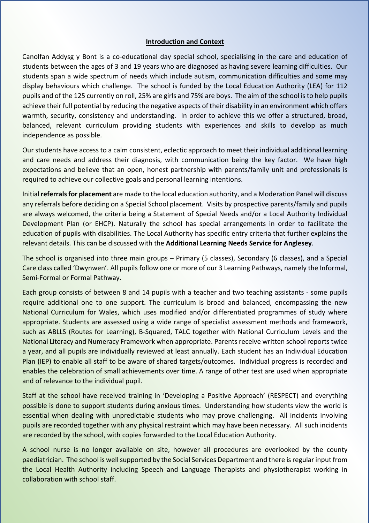#### **Introduction and Context**

Canolfan Addysg y Bont is a co-educational day special school, specialising in the care and education of students between the ages of 3 and 19 years who are diagnosed as having severe learning difficulties. Our students span a wide spectrum of needs which include autism, communication difficulties and some may display behaviours which challenge. The school is funded by the Local Education Authority (LEA) for 112 pupils and of the 125 currently on roll, 25% are girls and 75% are boys. The aim of the school is to help pupils achieve their full potential by reducing the negative aspects of their disability in an environment which offers warmth, security, consistency and understanding. In order to achieve this we offer a structured, broad, balanced, relevant curriculum providing students with experiences and skills to develop as much independence as possible.

Our students have access to a calm consistent, eclectic approach to meet their individual additional learning and care needs and address their diagnosis, with communication being the key factor. We have high expectations and believe that an open, honest partnership with parents/family unit and professionals is required to achieve our collective goals and personal learning intentions.

Initial **referrals for placement** are made to the local education authority, and a Moderation Panel will discuss any referrals before deciding on a Special School placement. Visits by prospective parents/family and pupils are always welcomed, the criteria being a Statement of Special Needs and/or a Local Authority Individual Development Plan (or EHCP). Naturally the school has special arrangements in order to facilitate the education of pupils with disabilities. The Local Authority has specific entry criteria that further explains the relevant details. This can be discussed with the **Additional Learning Needs Service for Anglesey**.

The school is organised into three main groups – Primary (5 classes), Secondary (6 classes), and a Special Care class called 'Dwynwen'. All pupils follow one or more of our 3 Learning Pathways, namely the Informal, Semi-Formal or Formal Pathway.

Each group consists of between 8 and 14 pupils with a teacher and two teaching assistants - some pupils require additional one to one support. The curriculum is broad and balanced, encompassing the new National Curriculum for Wales, which uses modified and/or differentiated programmes of study where appropriate. Students are assessed using a wide range of specialist assessment methods and framework, such as ABLLS (Routes for Learning), B-Squared, TALC together with National Curriculum Levels and the National Literacy and Numeracy Framework when appropriate. Parents receive written school reports twice a year, and all pupils are individually reviewed at least annually. Each student has an Individual Education Plan (IEP) to enable all staff to be aware of shared targets/outcomes. Individual progress is recorded and enables the celebration of small achievements over time. A range of other test are used when appropriate and of relevance to the individual pupil.

Staff at the school have received training in 'Developing a Positive Approach' (RESPECT) and everything possible is done to support students during anxious times. Understanding how students view the world is essential when dealing with unpredictable students who may prove challenging. All incidents involving pupils are recorded together with any physical restraint which may have been necessary. All such incidents are recorded by the school, with copies forwarded to the Local Education Authority.

A school nurse is no longer available on site, however all procedures are overlooked by the county paediatrician. The school is well supported by the Social Services Department and there is regular input from the Local Health Authority including Speech and Language Therapists and physiotherapist working in collaboration with school staff.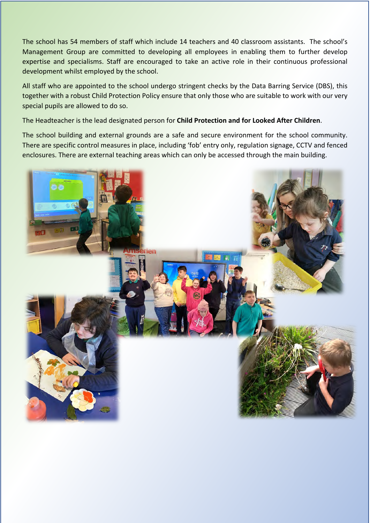The school has 54 members of staff which include 14 teachers and 40 classroom assistants. The school's Management Group are committed to developing all employees in enabling them to further develop expertise and specialisms. Staff are encouraged to take an active role in their continuous professional development whilst employed by the school.

All staff who are appointed to the school undergo stringent checks by the Data Barring Service (DBS), this together with a robust Child Protection Policy ensure that only those who are suitable to work with our very special pupils are allowed to do so.

The Headteacher is the lead designated person for **Child Protection and for Looked After Children**.

The school building and external grounds are a safe and secure environment for the school community. There are specific control measures in place, including 'fob' entry only, regulation signage, CCTV and fenced enclosures. There are external teaching areas which can only be accessed through the main building.

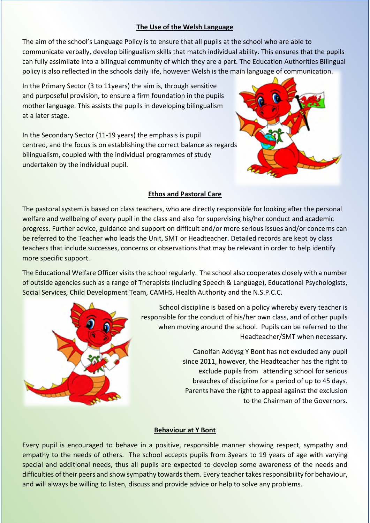#### **The Use of the Welsh Language**

The aim of the school's Language Policy is to ensure that all pupils at the school who are able to communicate verbally, develop bilingualism skills that match individual ability. This ensures that the pupils can fully assimilate into a bilingual community of which they are a part. The Education Authorities Bilingual policy is also reflected in the schools daily life, however Welsh is the main language of communication.

In the Primary Sector (3 to 11years) the aim is, through sensitive and purposeful provision, to ensure a firm foundation in the pupils mother language. This assists the pupils in developing bilingualism at a later stage.

In the Secondary Sector (11-19 years) the emphasis is pupil centred, and the focus is on establishing the correct balance as regards bilingualism, coupled with the individual programmes of study undertaken by the individual pupil.



#### **Ethos and Pastoral Care**

The pastoral system is based on class teachers, who are directly responsible for looking after the personal welfare and wellbeing of every pupil in the class and also for supervising his/her conduct and academic progress. Further advice, guidance and support on difficult and/or more serious issues and/or concerns can be referred to the Teacher who leads the Unit, SMT or Headteacher. Detailed records are kept by class teachers that include successes, concerns or observations that may be relevant in order to help identify more specific support.

The Educational Welfare Officer visits the school regularly. The school also cooperates closely with a number of outside agencies such as a range of Therapists (including Speech & Language), Educational Psychologists, Social Services, Child Development Team, CAMHS, Health Authority and the N.S.P.C.C.



School discipline is based on a policy whereby every teacher is responsible for the conduct of his/her own class, and of other pupils when moving around the school. Pupils can be referred to the Headteacher/SMT when necessary.

> Canolfan Addysg Y Bont has not excluded any pupil since 2011, however, the Headteacher has the right to exclude pupils from attending school for serious breaches of discipline for a period of up to 45 days. Parents have the right to appeal against the exclusion to the Chairman of the Governors.

#### **Behaviour at Y Bont**

Every pupil is encouraged to behave in a positive, responsible manner showing respect, sympathy and empathy to the needs of others. The school accepts pupils from 3years to 19 years of age with varying special and additional needs, thus all pupils are expected to develop some awareness of the needs and difficulties of their peers and show sympathy towards them. Every teacher takes responsibility for behaviour, and will always be willing to listen, discuss and provide advice or help to solve any problems.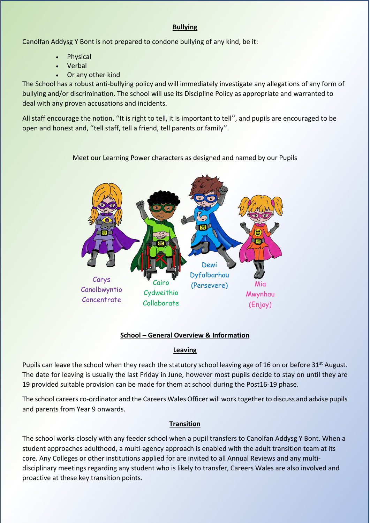#### **Bullying**

Canolfan Addysg Y Bont is not prepared to condone bullying of any kind, be it:

- Physical
- Verbal
- Or any other kind

The School has a robust anti-bullying policy and will immediately investigate any allegations of any form of bullying and/or discrimination. The school will use its Discipline Policy as appropriate and warranted to deal with any proven accusations and incidents.

All staff encourage the notion, "It is right to tell, it is important to tell", and pupils are encouraged to be open and honest and, ''tell staff, tell a friend, tell parents or family''.

Meet our Learning Power characters as designed and named by our Pupils



# **School – General Overview & Information**

#### **Leaving**

Pupils can leave the school when they reach the statutory school leaving age of 16 on or before 31<sup>st</sup> August. The date for leaving is usually the last Friday in June, however most pupils decide to stay on until they are 19 provided suitable provision can be made for them at school during the Post16-19 phase.

The school careers co-ordinator and the Careers Wales Officer will work together to discuss and advise pupils and parents from Year 9 onwards.

# **Transition**

The school works closely with any feeder school when a pupil transfers to Canolfan Addysg Y Bont. When a student approaches adulthood, a multi-agency approach is enabled with the adult transition team at its core. Any Colleges or other institutions applied for are invited to all Annual Reviews and any multidisciplinary meetings regarding any student who is likely to transfer, Careers Wales are also involved and proactive at these key transition points.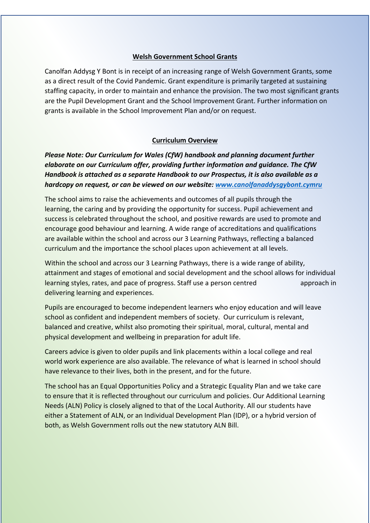#### **Welsh Government School Grants**

Canolfan Addysg Y Bont is in receipt of an increasing range of Welsh Government Grants, some as a direct result of the Covid Pandemic. Grant expenditure is primarily targeted at sustaining staffing capacity, in order to maintain and enhance the provision. The two most significant grants are the Pupil Development Grant and the School Improvement Grant. Further information on grants is available in the School Improvement Plan and/or on request.

#### **Curriculum Overview**

*Please Note: Our Curriculum for Wales (CfW) handbook and planning document further elaborate on our Curriculum offer, providing further information and guidance. The CfW Handbook is attached as a separate Handbook to our Prospectus, it is also available as a hardcopy on request, or can be viewed on our website: [www.canolfanaddysgybont.cymru](http://www.canolfanaddysgybont.cymru/)* 

The school aims to raise the achievements and outcomes of all pupils through the learning, the caring and by providing the opportunity for success. Pupil achievement and success is celebrated throughout the school, and positive rewards are used to promote and encourage good behaviour and learning. A wide range of accreditations and qualifications are available within the school and across our 3 Learning Pathways, reflecting a balanced curriculum and the importance the school places upon achievement at all levels.

Within the school and across our 3 Learning Pathways, there is a wide range of ability, attainment and stages of emotional and social development and the school allows for individual learning styles, rates, and pace of progress. Staff use a person centred approach in delivering learning and experiences.

Pupils are encouraged to become independent learners who enjoy education and will leave school as confident and independent members of society. Our curriculum is relevant, balanced and creative, whilst also promoting their spiritual, moral, cultural, mental and physical development and wellbeing in preparation for adult life.

Careers advice is given to older pupils and link placements within a local college and real world work experience are also available. The relevance of what is learned in school should have relevance to their lives, both in the present, and for the future.

The school has an Equal Opportunities Policy and a Strategic Equality Plan and we take care to ensure that it is reflected throughout our curriculum and policies. Our Additional Learning Needs (ALN) Policy is closely aligned to that of the Local Authority. All our students have either a Statement of ALN, or an Individual Development Plan (IDP), or a hybrid version of both, as Welsh Government rolls out the new statutory ALN Bill.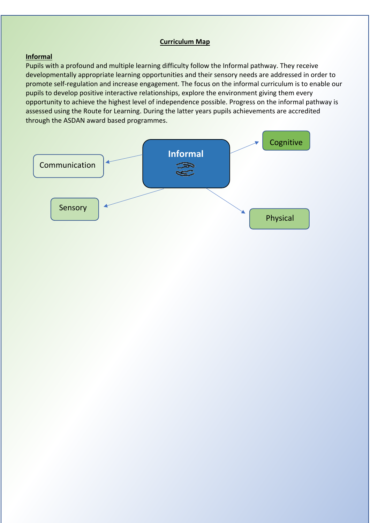#### **Curriculum Map**

#### **Informal**

Pupils with a profound and multiple learning difficulty follow the Informal pathway. They receive developmentally appropriate learning opportunities and their sensory needs are addressed in order to promote self-regulation and increase engagement. The focus on the informal curriculum is to enable our pupils to develop positive interactive relationships, explore the environment giving them every opportunity to achieve the highest level of independence possible. Progress on the informal pathway is assessed using the Route for Learning. During the latter years pupils achievements are accredited through the ASDAN award based programmes.

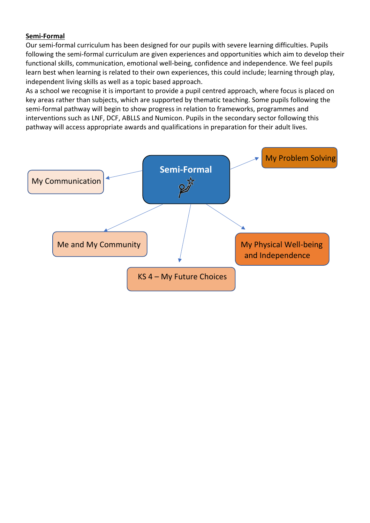#### **Semi-Formal**

Our semi-formal curriculum has been designed for our pupils with severe learning difficulties. Pupils following the semi-formal curriculum are given experiences and opportunities which aim to develop their functional skills, communication, emotional well-being, confidence and independence. We feel pupils learn best when learning is related to their own experiences, this could include; learning through play, independent living skills as well as a topic based approach.

As a school we recognise it is important to provide a pupil centred approach, where focus is placed on key areas rather than subjects, which are supported by thematic teaching. Some pupils following the semi-formal pathway will begin to show progress in relation to frameworks, programmes and interventions such as LNF, DCF, ABLLS and Numicon. Pupils in the secondary sector following this pathway will access appropriate awards and qualifications in preparation for their adult lives.

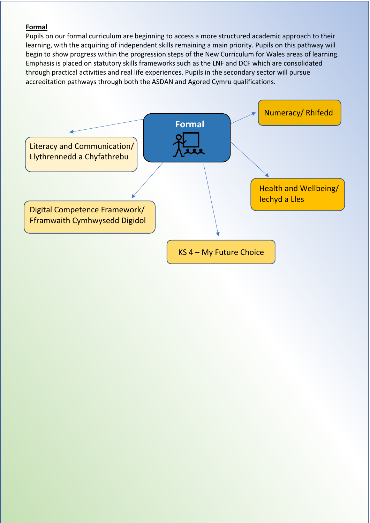#### **Formal**

Pupils on our formal curriculum are beginning to access a more structured academic approach to their learning, with the acquiring of independent skills remaining a main priority. Pupils on this pathway will begin to show progress within the progression steps of the New Curriculum for Wales areas of learning. Emphasis is placed on statutory skills frameworks such as the LNF and DCF which are consolidated through practical activities and real life experiences. Pupils in the secondary sector will pursue accreditation pathways through both the ASDAN and Agored Cymru qualifications.

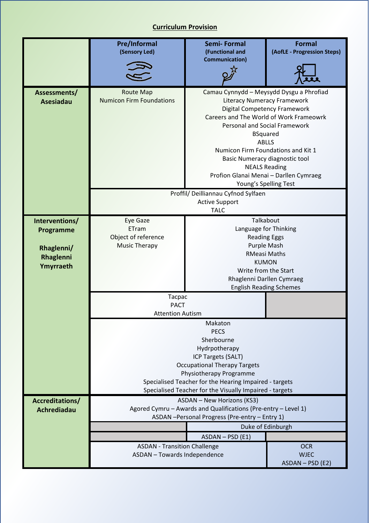# **Curriculum Provision**

|                  | <b>Pre/Informal</b>                                                 | Semi-Formal                                                                                  | <b>Formal</b>                                                             |
|------------------|---------------------------------------------------------------------|----------------------------------------------------------------------------------------------|---------------------------------------------------------------------------|
|                  | (Sensory Led)                                                       | (Functional and<br><b>Communication)</b>                                                     | (AofLE - Progression Steps)                                               |
|                  |                                                                     |                                                                                              |                                                                           |
|                  |                                                                     |                                                                                              |                                                                           |
| Assessments/     | <b>Route Map</b><br><b>Numicon Firm Foundations</b>                 | Camau Cynnydd - Meysydd Dysgu a Phrofiad                                                     |                                                                           |
| <b>Asesiadau</b> |                                                                     |                                                                                              | <b>Literacy Numeracy Framework</b><br><b>Digital Competency Framework</b> |
|                  |                                                                     |                                                                                              | Careers and The World of Work Frameowrk                                   |
|                  |                                                                     |                                                                                              | Personal and Social Framework                                             |
|                  |                                                                     | <b>ABLLS</b>                                                                                 | <b>BSquared</b>                                                           |
|                  |                                                                     |                                                                                              | Numicon Firm Foundations and Kit 1                                        |
|                  |                                                                     |                                                                                              | Basic Numeracy diagnostic tool                                            |
|                  |                                                                     | <b>NEALS Reading</b>                                                                         | Profion Glanai Menai - Darllen Cymraeg                                    |
|                  |                                                                     |                                                                                              | Young's Spelling Test                                                     |
|                  |                                                                     | Proffil/ Deilliannau Cyfnod Sylfaen                                                          |                                                                           |
|                  |                                                                     | <b>Active Support</b><br><b>TALC</b>                                                         |                                                                           |
| Interventions/   | <b>Eye Gaze</b>                                                     | Talkabout                                                                                    |                                                                           |
| Programme        | ETram                                                               | Language for Thinking                                                                        |                                                                           |
|                  | Object of reference                                                 |                                                                                              | <b>Reading Eggs</b>                                                       |
| Rhaglenni/       | <b>Music Therapy</b>                                                | Purple Mash<br><b>RMeasi Maths</b>                                                           |                                                                           |
| Rhaglenni        |                                                                     | <b>KUMON</b>                                                                                 |                                                                           |
| Ymyrraeth        |                                                                     | Write from the Start                                                                         |                                                                           |
|                  |                                                                     | Rhaglenni Darllen Cymraeg<br><b>English Reading Schemes</b>                                  |                                                                           |
|                  | Tacpac                                                              |                                                                                              |                                                                           |
|                  |                                                                     | <b>PACT</b>                                                                                  |                                                                           |
|                  | <b>Attention Autism</b>                                             |                                                                                              |                                                                           |
|                  |                                                                     | Makaton<br><b>PECS</b>                                                                       |                                                                           |
|                  |                                                                     | Sherbourne                                                                                   |                                                                           |
|                  | Hydrpotherapy                                                       |                                                                                              |                                                                           |
|                  | ICP Targets (SALT)<br><b>Occupational Therapy Targets</b>           |                                                                                              |                                                                           |
|                  | Physiotherapy Programme                                             |                                                                                              |                                                                           |
|                  | Specialised Teacher for the Hearing Impaired - targets              |                                                                                              |                                                                           |
| Accreditations/  |                                                                     | Specialised Teacher for the Visually Impaired - targets<br><b>ASDAN - New Horizons (KS3)</b> |                                                                           |
| Achrediadau      |                                                                     | Agored Cymru - Awards and Qualifications (Pre-entry - Level 1)                               |                                                                           |
|                  |                                                                     | ASDAN - Personal Progress (Pre-entry - Entry 1)                                              |                                                                           |
|                  |                                                                     |                                                                                              | Duke of Edinburgh                                                         |
|                  |                                                                     | $ASDAN - PSD (E1)$                                                                           |                                                                           |
|                  | <b>ASDAN - Transition Challenge</b><br>ASDAN - Towards Independence |                                                                                              | <b>OCR</b><br><b>WJEC</b>                                                 |
|                  |                                                                     |                                                                                              | ASDAN - PSD (E2)                                                          |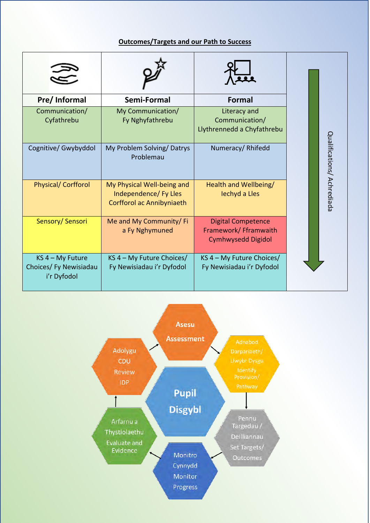# **Outcomes/Targets and our Path to Success**

| Pre/ Informal                                               | Semi-Formal                                                                      | <b>Formal</b>                                                                   |                            |
|-------------------------------------------------------------|----------------------------------------------------------------------------------|---------------------------------------------------------------------------------|----------------------------|
| Communication/<br>Cyfathrebu                                | My Communication/<br>Fy Nghyfathrebu                                             | Literacy and<br>Communication/<br>Llythrennedd a Chyfathrebu                    |                            |
| Cognitive/ Gwybyddol                                        | My Problem Solving/Datrys<br>Problemau                                           | Numeracy/Rhifedd                                                                | Qualifications/ Achrediada |
| <b>Physical/ Corfforol</b>                                  | My Physical Well-being and<br>Independence/ Fy Lles<br>Corfforol ac Annibyniaeth | Health and Wellbeing/<br>lechyd a Lles                                          |                            |
| Sensory/Sensori                                             | Me and My Community/ Fi<br>a Fy Nghymuned                                        | <b>Digital Competence</b><br>Framework/ Fframwaith<br><b>Cymhwysedd Digidol</b> |                            |
| $KS$ 4 – My Future<br>Choices/ Fy Newisiadau<br>i'r Dyfodol | KS 4 - My Future Choices/<br>Fy Newisiadau i'r Dyfodol                           | KS 4 - My Future Choices/<br>Fy Newisiadau i'r Dyfodol                          |                            |

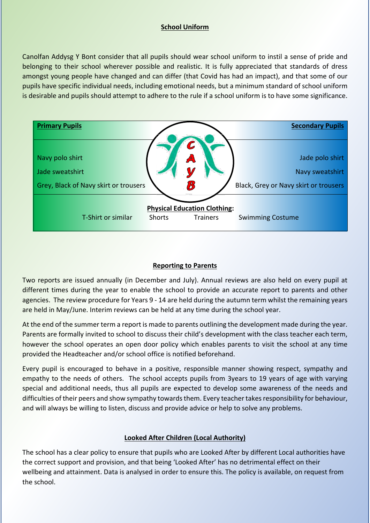#### **School Uniform**

Canolfan Addysg Y Bont consider that all pupils should wear school uniform to instil a sense of pride and belonging to their school wherever possible and realistic. It is fully appreciated that standards of dress amongst young people have changed and can differ (that Covid has had an impact), and that some of our pupils have specific individual needs, including emotional needs, but a minimum standard of school uniform is desirable and pupils should attempt to adhere to the rule if a school uniform is to have some significance.



# **Reporting to Parents**

Two reports are issued annually (in December and July). Annual reviews are also held on every pupil at different times during the year to enable the school to provide an accurate report to parents and other agencies. The review procedure for Years 9 - 14 are held during the autumn term whilst the remaining years are held in May/June. Interim reviews can be held at any time during the school year.

At the end of the summer term a report is made to parents outlining the development made during the year. Parents are formally invited to school to discuss their child's development with the class teacher each term, however the school operates an open door policy which enables parents to visit the school at any time provided the Headteacher and/or school office is notified beforehand.

Every pupil is encouraged to behave in a positive, responsible manner showing respect, sympathy and empathy to the needs of others. The school accepts pupils from 3years to 19 years of age with varying special and additional needs, thus all pupils are expected to develop some awareness of the needs and difficulties of their peers and show sympathy towards them. Every teacher takes responsibility for behaviour, and will always be willing to listen, discuss and provide advice or help to solve any problems.

#### **Looked After Children (Local Authority)**

The school has a clear policy to ensure that pupils who are Looked After by different Local authorities have the correct support and provision, and that being 'Looked After' has no detrimental effect on their wellbeing and attainment. Data is analysed in order to ensure this. The policy is available, on request from the school.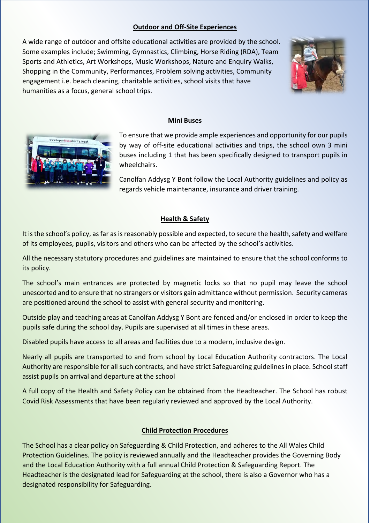#### **Outdoor and Off-Site Experiences**

A wide range of outdoor and offsite educational activities are provided by the school. Some examples include; Swimming, Gymnastics, Climbing, Horse Riding (RDA), Team Sports and Athletics, Art Workshops, Music Workshops, Nature and Enquiry Walks, Shopping in the Community, Performances, Problem solving activities, Community engagement i.e. beach cleaning, charitable activities, school visits that have humanities as a focus, general school trips.



#### **Mini Buses**



To ensure that we provide ample experiences and opportunity for our pupils by way of off-site educational activities and trips, the school own 3 mini buses including 1 that has been specifically designed to transport pupils in wheelchairs.

Canolfan Addysg Y Bont follow the Local Authority guidelines and policy as regards vehicle maintenance, insurance and driver training.

#### **Health & Safety**

It is the school's policy, as far as is reasonably possible and expected, to secure the health, safety and welfare of its employees, pupils, visitors and others who can be affected by the school's activities.

All the necessary statutory procedures and guidelines are maintained to ensure that the school conforms to its policy.

The school's main entrances are protected by magnetic locks so that no pupil may leave the school unescorted and to ensure that no strangers or visitors gain admittance without permission. Security cameras are positioned around the school to assist with general security and monitoring.

Outside play and teaching areas at Canolfan Addysg Y Bont are fenced and/or enclosed in order to keep the pupils safe during the school day. Pupils are supervised at all times in these areas.

Disabled pupils have access to all areas and facilities due to a modern, inclusive design.

Nearly all pupils are transported to and from school by Local Education Authority contractors. The Local Authority are responsible for all such contracts, and have strict Safeguarding guidelines in place. School staff assist pupils on arrival and departure at the school

A full copy of the Health and Safety Policy can be obtained from the Headteacher. The School has robust Covid Risk Assessments that have been regularly reviewed and approved by the Local Authority.

#### **Child Protection Procedures**

The School has a clear policy on Safeguarding & Child Protection, and adheres to the All Wales Child Protection Guidelines. The policy is reviewed annually and the Headteacher provides the Governing Body and the Local Education Authority with a full annual Child Protection & Safeguarding Report. The Headteacher is the designated lead for Safeguarding at the school, there is also a Governor who has a designated responsibility for Safeguarding.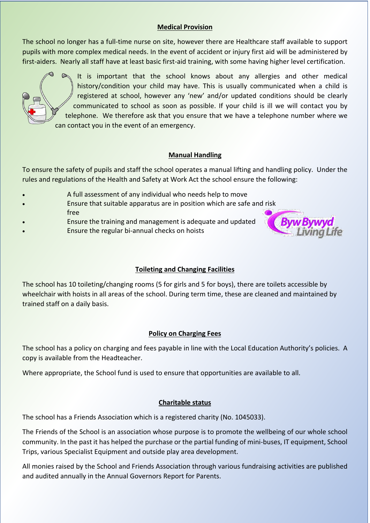# **Medical Provision**

The school no longer has a full-time nurse on site, however there are Healthcare staff available to support pupils with more complex medical needs. In the event of accident or injury first aid will be administered by first-aiders. Nearly all staff have at least basic first-aid training, with some having higher level certification.



 It is important that the school knows about any allergies and other medical history/condition your child may have. This is usually communicated when a child is registered at school, however any 'new' and/or updated conditions should be clearly communicated to school as soon as possible. If your child is ill we will contact you by telephone. We therefore ask that you ensure that we have a telephone number where we can contact you in the event of an emergency.

#### **Manual Handling**

To ensure the safety of pupils and staff the school operates a manual lifting and handling policy. Under the rules and regulations of the Health and Safety at Work Act the school ensure the following:

- A full assessment of any individual who needs help to move
- Ensure that suitable apparatus are in position which are safe and risk free
- Ensure the training and management is adequate and updated
- Ensure the regular bi-annual checks on hoists



#### **Toileting and Changing Facilities**

The school has 10 toileting/changing rooms (5 for girls and 5 for boys), there are toilets accessible by wheelchair with hoists in all areas of the school. During term time, these are cleaned and maintained by trained staff on a daily basis.

#### **Policy on Charging Fees**

The school has a policy on charging and fees payable in line with the Local Education Authority's policies. A copy is available from the Headteacher.

Where appropriate, the School fund is used to ensure that opportunities are available to all.

#### **Charitable status**

The school has a Friends Association which is a registered charity (No. 1045033).

The Friends of the School is an association whose purpose is to promote the wellbeing of our whole school community. In the past it has helped the purchase or the partial funding of mini-buses, IT equipment, School Trips, various Specialist Equipment and outside play area development.

All monies raised by the School and Friends Association through various fundraising activities are published and audited annually in the Annual Governors Report for Parents.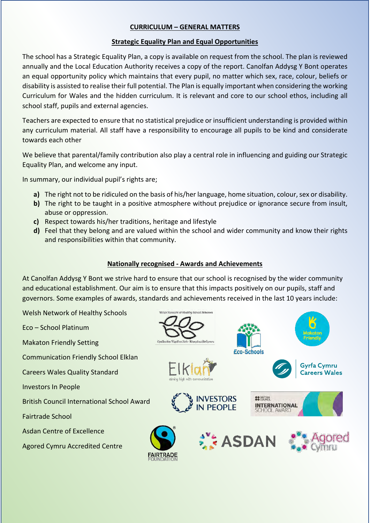### **CURRICULUM – GENERAL MATTERS**

#### **Strategic Equality Plan and Equal Opportunities**

The school has a Strategic Equality Plan, a copy is available on request from the school. The plan is reviewed annually and the Local Education Authority receives a copy of the report. Canolfan Addysg Y Bont operates an equal opportunity policy which maintains that every pupil, no matter which sex, race, colour, beliefs or disability is assisted to realise their full potential. The Plan is equally important when considering the working Curriculum for Wales and the hidden curriculum. It is relevant and core to our school ethos, including all school staff, pupils and external agencies.

Teachers are expected to ensure that no statistical prejudice or insufficient understanding is provided within any curriculum material. All staff have a responsibility to encourage all pupils to be kind and considerate towards each other

We believe that parental/family contribution also play a central role in influencing and guiding our Strategic Equality Plan, and welcome any input.

In summary, our individual pupil's rights are;

- **a)** The right not to be ridiculed on the basis of his/her language, home situation, colour, sex or disability.
- **b)** The right to be taught in a positive atmosphere without prejudice or ignorance secure from insult, abuse or oppression.
- **c)** Respect towards his/her traditions, heritage and lifestyle
- **d)** Feel that they belong and are valued within the school and wider community and know their rights and responsibilities within that community.

#### **Nationally recognised - Awards and Achievements**

At Canolfan Addysg Y Bont we strive hard to ensure that our school is recognised by the wider community and educational establishment. Our aim is to ensure that this impacts positively on our pupils, staff and governors. Some examples of awards, standards and achievements received in the last 10 years include:

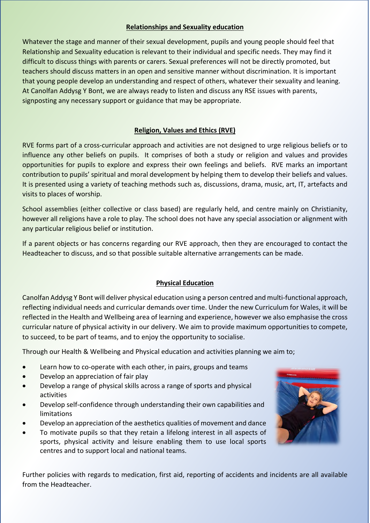#### **Relationships and Sexuality education**

Whatever the stage and manner of their sexual development, pupils and young people should feel that Relationship and Sexuality education is relevant to their individual and specific needs. They may find it difficult to discuss things with parents or carers. Sexual preferences will not be directly promoted, but teachers should discuss matters in an open and sensitive manner without discrimination. It is important that young people develop an understanding and respect of others, whatever their sexuality and leaning. At Canolfan Addysg Y Bont, we are always ready to listen and discuss any RSE issues with parents, signposting any necessary support or guidance that may be appropriate.

# **Religion, Values and Ethics (RVE)**

RVE forms part of a cross-curricular approach and activities are not designed to urge religious beliefs or to influence any other beliefs on pupils. It comprises of both a study or religion and values and provides opportunities for pupils to explore and express their own feelings and beliefs. RVE marks an important contribution to pupils' spiritual and moral development by helping them to develop their beliefs and values. It is presented using a variety of teaching methods such as, discussions, drama, music, art, IT, artefacts and visits to places of worship.

School assemblies (either collective or class based) are regularly held, and centre mainly on Christianity, however all religions have a role to play. The school does not have any special association or alignment with any particular religious belief or institution.

If a parent objects or has concerns regarding our RVE approach, then they are encouraged to contact the Headteacher to discuss, and so that possible suitable alternative arrangements can be made.

#### **Physical Education**

Canolfan Addysg Y Bont will deliver physical education using a person centred and multi-functional approach, reflecting individual needs and curricular demands over time. Under the new Curriculum for Wales, it will be reflected in the Health and Wellbeing area of learning and experience, however we also emphasise the cross curricular nature of physical activity in our delivery. We aim to provide maximum opportunities to compete, to succeed, to be part of teams, and to enjoy the opportunity to socialise.

Through our Health & Wellbeing and Physical education and activities planning we aim to;

- Learn how to co-operate with each other, in pairs, groups and teams
- Develop an appreciation of fair play
- Develop a range of physical skills across a range of sports and physical activities
- Develop self-confidence through understanding their own capabilities and limitations
- Develop an appreciation of the aesthetics qualities of movement and dance
- To motivate pupils so that they retain a lifelong interest in all aspects of sports, physical activity and leisure enabling them to use local sports centres and to support local and national teams.

Further policies with regards to medication, first aid, reporting of accidents and incidents are all available from the Headteacher.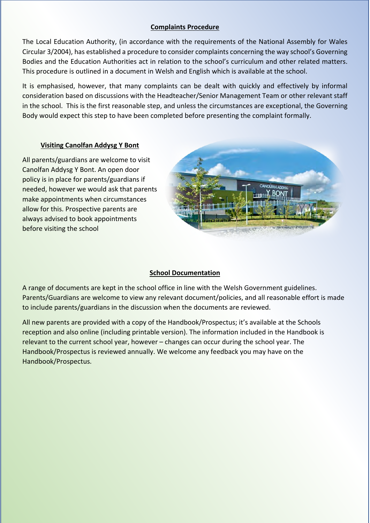#### **Complaints Procedure**

The Local Education Authority, (in accordance with the requirements of the National Assembly for Wales Circular 3/2004), has established a procedure to consider complaints concerning the way school's Governing Bodies and the Education Authorities act in relation to the school's curriculum and other related matters. This procedure is outlined in a document in Welsh and English which is available at the school.

It is emphasised, however, that many complaints can be dealt with quickly and effectively by informal consideration based on discussions with the Headteacher/Senior Management Team or other relevant staff in the school. This is the first reasonable step, and unless the circumstances are exceptional, the Governing Body would expect this step to have been completed before presenting the complaint formally.

#### **Visiting Canolfan Addysg Y Bont**

All parents/guardians are welcome to visit Canolfan Addysg Y Bont. An open door policy is in place for parents/guardians if needed, however we would ask that parents make appointments when circumstances allow for this. Prospective parents are always advised to book appointments before visiting the school



#### **School Documentation**

A range of documents are kept in the school office in line with the Welsh Government guidelines. Parents/Guardians are welcome to view any relevant document/policies, and all reasonable effort is made to include parents/guardians in the discussion when the documents are reviewed.

All new parents are provided with a copy of the Handbook/Prospectus; it's available at the Schools reception and also online (including printable version). The information included in the Handbook is relevant to the current school year, however – changes can occur during the school year. The Handbook/Prospectus is reviewed annually. We welcome any feedback you may have on the Handbook/Prospectus.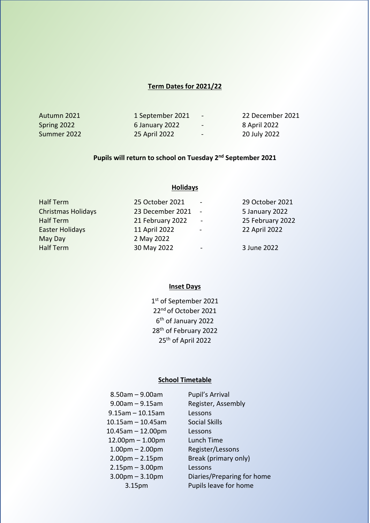#### **Term Dates for 2021/22**

| Autumn 2021 | 1 September 2021 | .              | 22 December 2021 |
|-------------|------------------|----------------|------------------|
| Spring 2022 | 6 January 2022   | $\sim$         | 8 April 2022     |
| Summer 2022 | 25 April 2022    | $\blacksquare$ | 20 July 2022     |

#### **Pupils will return to school on Tuesday 2nd September 2021**

**Holidays**

# Half Term 25 October 2021 - 29 October 2021 Christmas Holidays 23 December 2021 - 5 January 2022 Half Term 21 February 2022 - 25 February 2022 Easter Holidays 11 April 2022 - 22 April 2022 May Day 2022 Half Term 30 May 2022 - 3 June 2022

#### **Inset Days**

1st of September 2021 22<sup>nd</sup> of October 2021 6th of January 2022 28th of February 2022 25th of April 2022

#### **School Timetable**

| $8.50$ am – 9.00am      | Pupil's Arrival            |
|-------------------------|----------------------------|
| $9.00$ am $- 9.15$ am   | Register, Assembly         |
| $9.15$ am $-10.15$ am   | Lessons                    |
| $10.15$ am - 10.45am    | <b>Social Skills</b>       |
| $10.45$ am $- 12.00$ pm | Lessons                    |
| $12.00$ pm $- 1.00$ pm  | Lunch Time                 |
| $1.00pm - 2.00pm$       | Register/Lessons           |
| $2.00$ pm $- 2.15$ pm   | Break (primary only)       |
| $2.15$ pm $-3.00$ pm    | Lessons                    |
| $3.00$ pm $- 3.10$ pm   | Diaries/Preparing for home |
| 3.15 <sub>pm</sub>      | Pupils leave for home      |
|                         |                            |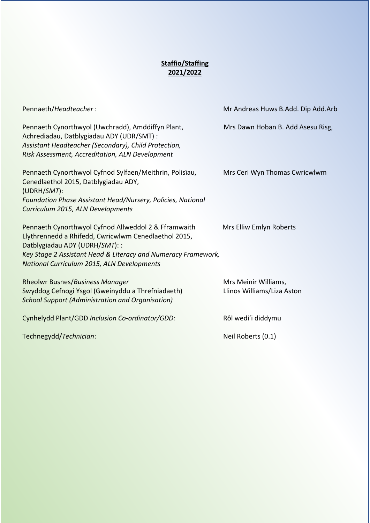# **Staffio/Staffing 2021/2022**

| Pennaeth/Headteacher:                                                                                                                                                                                                                                         | Mr Andreas Huws B.Add. Dip Add.Arb                 |
|---------------------------------------------------------------------------------------------------------------------------------------------------------------------------------------------------------------------------------------------------------------|----------------------------------------------------|
| Pennaeth Cynorthwyol (Uwchradd), Amddiffyn Plant,<br>Achrediadau, Datblygiadau ADY (UDR/SMT) :<br>Assistant Headteacher (Secondary), Child Protection,<br>Risk Assessment, Accreditation, ALN Development                                                     | Mrs Dawn Hoban B. Add Asesu Risg,                  |
| Pennaeth Cynorthwyol Cyfnod Sylfaen/Meithrin, Polisïau,<br>Cenedlaethol 2015, Datblygiadau ADY,<br>$(UDRH/SMT)$ :<br>Foundation Phase Assistant Head/Nursery, Policies, National<br>Curriculum 2015, ALN Developments                                         | Mrs Ceri Wyn Thomas Cwricwlwm                      |
| Pennaeth Cynorthwyol Cyfnod Allweddol 2 & Fframwaith<br>Llythrennedd a Rhifedd, Cwricwlwm Cenedlaethol 2015,<br>Datblygiadau ADY (UDRH/SMT): :<br>Key Stage 2 Assistant Head & Literacy and Numeracy Framework,<br>National Curriculum 2015, ALN Developments | Mrs Elliw Emlyn Roberts                            |
| <b>Rheolwr Busnes/Business Manager</b><br>Swyddog Cefnogi Ysgol (Gweinyddu a Threfniadaeth)<br><b>School Support (Administration and Organisation)</b>                                                                                                        | Mrs Meinir Williams,<br>Llinos Williams/Liza Aston |
| Cynhelydd Plant/GDD Inclusion Co-ordinator/GDD:                                                                                                                                                                                                               | Rôl wedi'i diddymu                                 |
| Technegydd/Technician:                                                                                                                                                                                                                                        | Neil Roberts (0.1)                                 |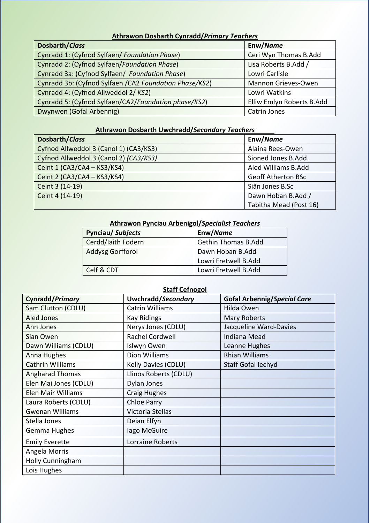# **Athrawon Dosbarth Cynradd/***Primary Teachers*

| Dosbarth/Class                                          | Enw/Name                  |
|---------------------------------------------------------|---------------------------|
| Cynradd 1: (Cyfnod Sylfaen/ Foundation Phase)           | Ceri Wyn Thomas B.Add     |
| Cynradd 2: (Cyfnod Sylfaen/Foundation Phase)            | Lisa Roberts B.Add /      |
| Cynradd 3a: (Cyfnod Sylfaen/ Foundation Phase)          | Lowri Carlisle            |
| Cynradd 3b: (Cyfnod Sylfaen / CA2 Foundation Phase/KS2) | Mannon Grieves-Owen       |
| Cynradd 4: (Cyfnod Allweddol 2/KS2)                     | Lowri Watkins             |
| Cynradd 5: (Cyfnod Sylfaen/CA2/Foundation phase/KS2)    | Elliw Emlyn Roberts B.Add |
| Dwynwen (Gofal Arbennig)                                | <b>Catrin Jones</b>       |

# **Athrawon Dosbarth Uwchradd/***Secondary Teachers*

| Dosbarth/Class                         | Enw/Name                  |
|----------------------------------------|---------------------------|
| Cyfnod Allweddol 3 (Canol 1) (CA3/KS3) | Alaina Rees-Owen          |
| Cyfnod Allweddol 3 (Canol 2) (CA3/KS3) | Sioned Jones B.Add.       |
| Ceint 1 (CA3/CA4 - KS3/KS4)            | Aled Williams B.Add       |
| Ceint 2 (CA3/CA4 - KS3/KS4)            | <b>Geoff Atherton BSc</b> |
| Ceint 3 (14-19)                        | Siân Jones B.Sc           |
| Ceint 4 (14-19)                        | Dawn Hoban B.Add /        |
|                                        | Tabitha Mead (Post 16)    |

# **Athrawon Pynciau Arbenigol/***Specialist Teachers*

| <b>Pynciau/Subjects</b>                     | Enw/Name                   |
|---------------------------------------------|----------------------------|
| Cerdd/laith Fodern                          | <b>Gethin Thomas B.Add</b> |
| <b>Addysg Gorfforol</b><br>Dawn Hoban B.Add |                            |
|                                             | Lowri Fretwell B.Add       |
| Celf & CDT                                  | Lowri Fretwell B.Add       |

# **Staff Cefnogol**

| Cynradd/Primary         | Uwchradd/Secondary     | <b>Gofal Arbennig/Special Care</b> |
|-------------------------|------------------------|------------------------------------|
| Sam Clutton (CDLU)      | <b>Catrin Williams</b> | Hilda Owen                         |
| <b>Aled Jones</b>       | <b>Kay Ridings</b>     | <b>Mary Roberts</b>                |
| Ann Jones               | Nerys Jones (CDLU)     | Jacqueline Ward-Davies             |
| Sian Owen               | Rachel Cordwell        | Indiana Mead                       |
| Dawn Williams (CDLU)    | Islwyn Owen            | Leanne Hughes                      |
| Anna Hughes             | Dion Williams          | <b>Rhian Williams</b>              |
| <b>Cathrin Williams</b> | Kelly Davies (CDLU)    | Staff Gofal lechyd                 |
| <b>Angharad Thomas</b>  | Llinos Roberts (CDLU)  |                                    |
| Elen Mai Jones (CDLU)   | Dylan Jones            |                                    |
| Elen Mair Williams      | <b>Craig Hughes</b>    |                                    |
| Laura Roberts (CDLU)    | <b>Chloe Parry</b>     |                                    |
| <b>Gwenan Williams</b>  | Victoria Stellas       |                                    |
| Stella Jones            | Deian Elfyn            |                                    |
| Gemma Hughes            | lago McGuire           |                                    |
| <b>Emily Everette</b>   | Lorraine Roberts       |                                    |
| Angela Morris           |                        |                                    |
| <b>Holly Cunningham</b> |                        |                                    |
| Lois Hughes             |                        |                                    |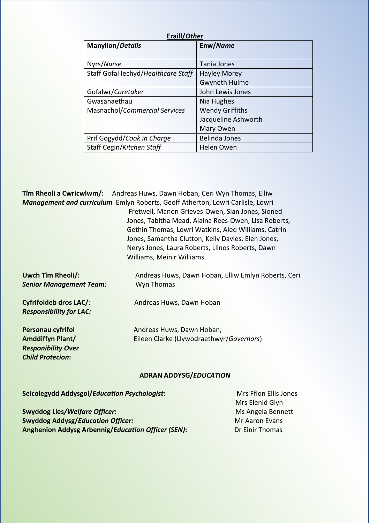| Eraill/Other                        |                        |  |
|-------------------------------------|------------------------|--|
| <b>Manylion/Details</b>             | Enw/Name               |  |
|                                     |                        |  |
| Nyrs/Nurse                          | Tania Jones            |  |
| Staff Gofal Iechyd/Healthcare Staff | <b>Hayley Morey</b>    |  |
|                                     | <b>Gwyneth Hulme</b>   |  |
| Gofalwr/Caretaker                   | John Lewis Jones       |  |
| Gwasanaethau                        | Nia Hughes             |  |
| Masnachol/Commercial Services       | <b>Wendy Griffiths</b> |  |
|                                     | Jacqueline Ashworth    |  |
|                                     | Mary Owen              |  |
| Prif Gogydd/Cook in Charge          | <b>Belinda Jones</b>   |  |
| Staff Cegin/Kitchen Staff           | Helen Owen             |  |

**Tîm Rheoli a Cwricwlwm/:** Andreas Huws, Dawn Hoban, Ceri Wyn Thomas, Elliw *Management and curriculum* Emlyn Roberts, Geoff Atherton, Lowri Carlisle, Lowri

 Fretwell, Manon Grieves-Owen, Sian Jones, Sioned Jones, Tabitha Mead, Alaina Rees-Owen, Lisa Roberts, Gethin Thomas, Lowri Watkins, Aled Williams, Catrin Jones, Samantha Clutton, Kelly Davies, Elen Jones, Nerys Jones, Laura Roberts, Llinos Roberts, Dawn Williams, Meinir Williams

**Uwch Tîm Rheoli/:** Andreas Huws, Dawn Hoban, Elliw Emlyn Roberts, Ceri **Senior Management Team:** Wyn Thomas **Cyfrifoldeb dros LAC/:** Andreas Huws, Dawn Hoban *Responsibility for LAC:* **Personau cyfrifol Andreas Huws, Dawn Hoban, Amddiffyn Plant/** Eileen Clarke (Llywodraethwyr/*Governors*) *Responibility Over*

#### **ADRAN ADDYSG/***EDUCATION*

**Seicolegydd Addysgol/***Education Psychologist***: Mrs Ffion Ellis Jones** 

*Child Protecion***:** 

**Swyddog Lles/Welfare Officer:** Ms Angela Bennett **Swyddog Addysg/***Education Officer:* Mr Aaron Evans **Anghenion Addysg Arbennig/***Education Officer (SEN)***:** Dr Einir Thomas

Mrs Elenid Glyn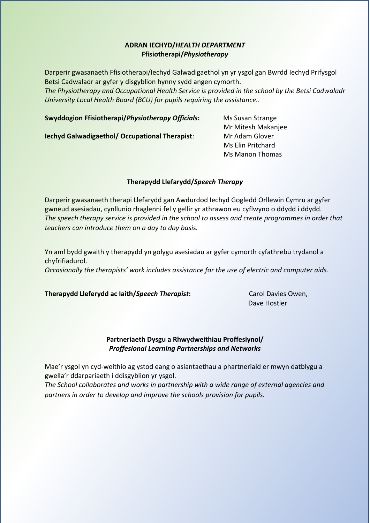#### **ADRAN IECHYD/***HEALTH DEPARTMENT* **Ffisiotherapi/***Physiotherapy*

Darperir gwasanaeth Ffisiotherapi/Iechyd Galwadigaethol yn yr ysgol gan Bwrdd Iechyd Prifysgol Betsi Cadwaladr ar gyfer y disgyblion hynny sydd angen cymorth.

*The Physiotherapy and Occupational Health Service is provided in the school by the Betsi Cadwaladr University Local Health Board (BCU) for pupils requiring the assistance.*.

**Swyddogion Ffisiotherapi/***Physiotherapy Officials***:** Ms Susan Strange

**Iechyd Galwadigaethol/ Occupational Therapist**: Mr Adam Glover

 Mr Mitesh Makanjee Ms Elin Pritchard Ms Manon Thomas

#### **Therapydd Llefarydd/***Speech Therapy*

Darperir gwasanaeth therapi Llefarydd gan Awdurdod Iechyd Gogledd Orllewin Cymru ar gyfer gwneud asesiadau, cynllunio rhaglenni fel y gellir yr athrawon eu cyflwyno o ddydd i ddydd. *The speech therapy service is provided in the school to assess and create programmes in order that teachers can introduce them on a day to day basis.*

Yn aml bydd gwaith y therapydd yn golygu asesiadau ar gyfer cymorth cyfathrebu trydanol a chyfrifiadurol. *Occasionally the therapists' work includes assistance for the use of electric and computer aids.*

# **Therapydd Lleferydd ac Iaith/Speech Therapist:** Carol Davies Owen,

Dave Hostler

#### **Partneriaeth Dysgu a Rhwydweithiau Proffesiynol/** *Proffesional Learning Partnerships and Networks*

Mae'r ysgol yn cyd-weithio ag ystod eang o asiantaethau a phartneriaid er mwyn datblygu a gwella'r ddarpariaeth i ddisgyblion yr ysgol.

*The School collaborates and works in partnership with a wide range of external agencies and partners in order to develop and improve the schools provision for pupils.*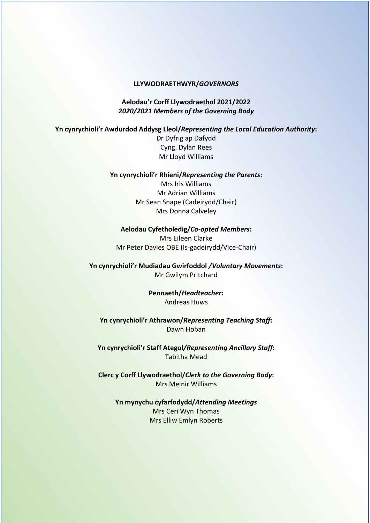#### **LLYWODRAETHWYR/***GOVERNORS*

**Aelodau'r Corff Llywodraethol 2021/2022** *2020/2021 Members of the Governing Body* 

#### **Yn cynrychioli'r Awdurdod Addysg Lleol/***Representing the Local Education Authority***:**

Dr Dyfrig ap Dafydd Cyng. Dylan Rees Mr Lloyd Williams

#### **Yn cynrychioli'r Rhieni/***Representing the Parents***:**

Mrs Iris Williams Mr Adrian Williams Mr Sean Snape (Cadeirydd/Chair) Mrs Donna Calveley

**Aelodau Cyfetholedig/***Co-opted Members***:**  Mrs Eileen Clarke Mr Peter Davies OBE (Is-gadeirydd/Vice-Chair)

**Yn cynrychioli'r Mudiadau Gwirfoddol** */Voluntary Movements***:**  Mr Gwilym Pritchard

> **Pennaeth/***Headteacher***:**  Andreas Huws

**Yn cynrychioli'r Athrawon/***Representing Teaching Staff***:**  Dawn Hoban

**Yn cynrychioli'r Staff Ategol***/Representing Ancillary Staff***:**  Tabitha Mead

**Clerc y Corff Llywodraethol/***Clerk to the Governing Body***:**  Mrs Meinir Williams

**Yn mynychu cyfarfodydd/***Attending Meetings* Mrs Ceri Wyn Thomas Mrs Elliw Emlyn Roberts